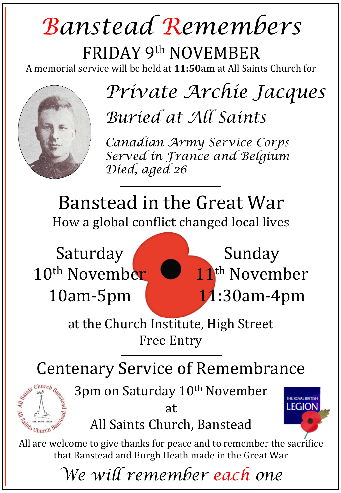## *Banstead Remembers*

FRIDAY 9th NOVEMBER A memorial service will be held at 11:50am at All Saints Church for



## *Private Archie Jacques Buried at All Saints*

*Canadian Army Service Corps Served in France and Belgium Died, aged 26* 

Banstead in the Great War How a global conflict changed local lives

Saturday 10<sup>th</sup> November 10am-5pm



Sunday 11<sup>th</sup> November 11:30am-4pm

**LEGION** 

at the Church Institute, High Street **Free Entry** 

Centenary Service of Remembrance



3pm on Saturday 10<sup>th</sup> November

at All Saints Church, Banstead

All are welcome to give thanks for peace and to remember the sacrifice that Banstead and Burgh Heath made in the Great War

*We will remember each one*